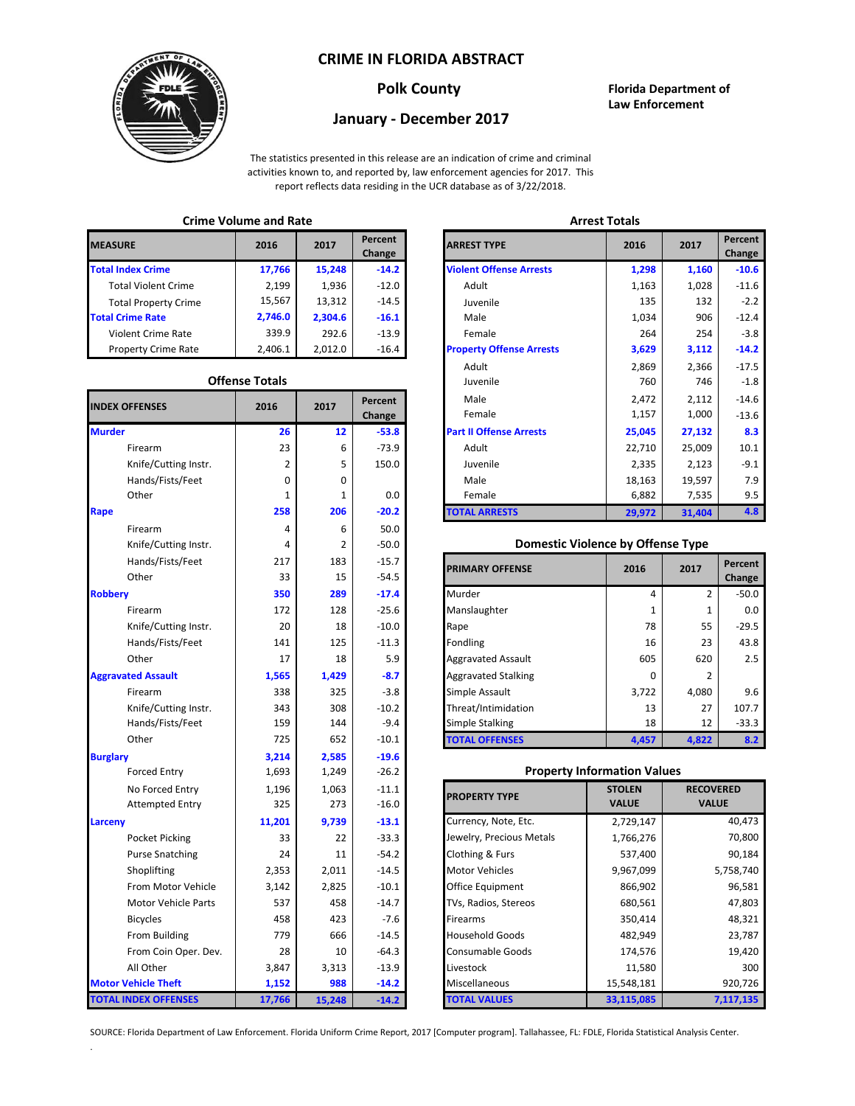## **CRIME IN FLORIDA ABSTRACT**



### **Polk County Florida Department of Law Enforcement**

# **January - December 2017**

The statistics presented in this release are an indication of crime and criminal activities known to, and reported by, law enforcement agencies for 2017. This report reflects data residing in the UCR database as of 3/22/2018.

## **Crime Volume and Rate Arrest Totals**

| <b>MEASURE</b>              | 2016    | 2017    | Percent<br>Change | <b>ARREST TYPE</b>             |
|-----------------------------|---------|---------|-------------------|--------------------------------|
| <b>Total Index Crime</b>    | 17,766  | 15,248  | $-14.2$           | <b>Violent Offense Arrests</b> |
| <b>Total Violent Crime</b>  | 2,199   | 1,936   | $-12.0$           | Adult                          |
| <b>Total Property Crime</b> | 15,567  | 13,312  | $-14.5$           | Juvenile                       |
| <b>Total Crime Rate</b>     | 2,746.0 | 2.304.6 | $-16.1$           | Male                           |
| Violent Crime Rate          | 339.9   | 292.6   | $-13.9$           | Female                         |
| <b>Property Crime Rate</b>  | 2,406.1 | 2.012.0 | $-16.4$           | <b>Property Offense Arrest</b> |

#### **Offense Totals**

| <b>INDEX OFFENSES</b>       | 2016   | 2017           | Percent<br>Change | Male<br>Female                           | 2,472<br>1,157 | 2,112<br>1,000   | $-14.6$<br>$-13.6$ |
|-----------------------------|--------|----------------|-------------------|------------------------------------------|----------------|------------------|--------------------|
| <b>Murder</b>               | 26     | 12             | $-53.8$           | Part II Offense Arrests                  | 25,045         | 27,132           | 8.3                |
| Firearm                     | 23     | 6              | $-73.9$           | Adult                                    | 22,710         | 25,009           | 10.1               |
| Knife/Cutting Instr.        | 2      | 5              | 150.0             | Juvenile                                 | 2,335          | 2,123            | $-9.1$             |
| Hands/Fists/Feet            | 0      | 0              |                   | Male                                     | 18,163         | 19,597           | 7.9                |
| Other                       | 1      | 1              | 0.0               | Female                                   | 6,882          | 7,535            | 9.5                |
| Rape                        | 258    | 206            | $-20.2$           | <b>TOTAL ARRESTS</b>                     | 29,972         | 31,404           | 4.8                |
| Firearm                     | 4      | 6              | 50.0              |                                          |                |                  |                    |
| Knife/Cutting Instr.        | 4      | $\overline{2}$ | $-50.0$           | <b>Domestic Violence by Offense Type</b> |                |                  |                    |
| Hands/Fists/Feet            | 217    | 183            | $-15.7$           |                                          |                |                  | Percent            |
| Other                       | 33     | 15             | $-54.5$           | <b>PRIMARY OFFENSE</b>                   | 2016           | 2017             | Change             |
| <b>Robbery</b>              | 350    | 289            | $-17.4$           | Murder                                   | 4              | $\overline{2}$   | $-50.0$            |
| Firearm                     | 172    | 128            | $-25.6$           | Manslaughter                             | 1              | $\mathbf{1}$     | 0.0                |
| Knife/Cutting Instr.        | 20     | 18             | $-10.0$           | Rape                                     | 78             | 55               | $-29.5$            |
| Hands/Fists/Feet            | 141    | 125            | $-11.3$           | Fondling                                 | 16             | 23               | 43.8               |
| Other                       | 17     | 18             | 5.9               | <b>Aggravated Assault</b>                | 605            | 620              | 2.5                |
| <b>Aggravated Assault</b>   | 1,565  | 1,429          | $-8.7$            | <b>Aggravated Stalking</b>               | 0              | $\overline{2}$   |                    |
| Firearm                     | 338    | 325            | $-3.8$            | Simple Assault                           | 3,722          | 4,080            | 9.6                |
| Knife/Cutting Instr.        | 343    | 308            | $-10.2$           | Threat/Intimidation                      | 13             | 27               | 107.7              |
| Hands/Fists/Feet            | 159    | 144            | $-9.4$            | <b>Simple Stalking</b>                   | 18             | 12               | $-33.3$            |
| Other                       | 725    | 652            | $-10.1$           | <b>TOTAL OFFENSES</b>                    | 4,457          | 4,822            | 8.2                |
| <b>Burglary</b>             | 3,214  | 2,585          | $-19.6$           |                                          |                |                  |                    |
| <b>Forced Entry</b>         | 1,693  | 1,249          | $-26.2$           | <b>Property Information Values</b>       |                |                  |                    |
| No Forced Entry             | 1,196  | 1,063          | $-11.1$           | <b>PROPERTY TYPE</b>                     | <b>STOLEN</b>  | <b>RECOVERED</b> |                    |
| <b>Attempted Entry</b>      | 325    | 273            | $-16.0$           |                                          | <b>VALUE</b>   | <b>VALUE</b>     |                    |
| Larceny                     | 11,201 | 9,739          | $-13.1$           | Currency, Note, Etc.                     | 2,729,147      |                  | 40,473             |
| Pocket Picking              | 33     | 22             | $-33.3$           | Jewelry, Precious Metals                 | 1,766,276      |                  | 70,800             |
| <b>Purse Snatching</b>      | 24     | 11             | $-54.2$           | Clothing & Furs                          | 537,400        |                  | 90,184             |
| Shoplifting                 | 2,353  | 2,011          | $-14.5$           | <b>Motor Vehicles</b>                    | 9,967,099      |                  | 5,758,740          |
| From Motor Vehicle          | 3,142  | 2,825          | $-10.1$           | Office Equipment                         | 866,902        |                  | 96,581             |
| <b>Motor Vehicle Parts</b>  | 537    | 458            | $-14.7$           | TVs, Radios, Stereos                     | 680,561        |                  | 47,803             |
| <b>Bicycles</b>             | 458    | 423            | $-7.6$            | Firearms                                 | 350,414        |                  | 48,321             |
| From Building               | 779    | 666            | $-14.5$           | <b>Household Goods</b>                   | 482,949        |                  | 23,787             |
| From Coin Oper. Dev.        | 28     | 10             | $-64.3$           | Consumable Goods                         | 174,576        |                  | 19,420             |
| All Other                   | 3,847  | 3,313          | $-13.9$           | Livestock                                | 11,580         |                  | 300                |
| <b>Motor Vehicle Theft</b>  | 1,152  | 988            | $-14.2$           | Miscellaneous                            | 15,548,181     |                  | 920,726            |
| <b>TOTAL INDEX OFFENSES</b> | 17,766 | 15,248         | $-14.2$           | <b>TOTAL VALUES</b>                      | 33,115,085     |                  | 7,117,135          |

.

| שווווכ שטומוווכ מוומ וזמנכ |                       |         |                          |                                 | лп сэг тогатэ |         |                   |  |
|----------------------------|-----------------------|---------|--------------------------|---------------------------------|---------------|---------|-------------------|--|
| RΕ                         | 2016                  | 2017    | <b>Percent</b><br>Change | <b>ARREST TYPE</b>              |               | 2017    | Percent<br>Change |  |
| dex Crime                  | 17,766                | 15,248  | $-14.2$                  | <b>Violent Offense Arrests</b>  | 1,298         | 1,160   | $-10.6$           |  |
| Il Violent Crime           | 2,199                 | 1,936   | $-12.0$                  | Adult                           | 1,163         | 1,028   | $-11.6$           |  |
| Il Property Crime          | 15,567                | 13,312  | $-14.5$                  | Juvenile                        | 135           | 132     | $-2.2$            |  |
| me Rate                    | 2,746.0               | 2,304.6 | $-16.1$                  | Male                            | 1,034         | 906     | $-12.4$           |  |
| ent Crime Rate             | 339.9                 | 292.6   | $-13.9$                  | Female                          | 264           | 254     | $-3.8$            |  |
| erty Crime Rate            | 2,406.1               | 2,012.0 | $-16.4$                  | <b>Property Offense Arrests</b> | 3,629         | 3,112   | $-14.2$           |  |
|                            |                       |         |                          | Adult                           | 2,869         | 2,366   | $-17.5$           |  |
|                            | <b>Offense Totals</b> |         |                          | Juvenile                        | 760           | 746     | $-1.8$            |  |
| <b>FFENSES</b>             | Percent<br>2017       |         | Male                     | 2,472                           | 2,112         | $-14.6$ |                   |  |
|                            | 2016                  |         | Change                   | Female                          | 1,157         | 1,000   | $-13.6$           |  |
|                            | 26                    | 12      | $-53.8$                  | <b>Part II Offense Arrests</b>  | 25,045        | 27,132  | 8.3               |  |
| Firearm                    | 23                    | 6       | $-73.9$                  | Adult                           | 22,710        | 25,009  | 10.1              |  |
| Knife/Cutting Instr.       | 2                     | 5       | 150.0                    | Juvenile                        | 2,335         | 2,123   | $-9.1$            |  |
| Hands/Fists/Feet           | 0                     | 0       |                          | Male                            | 18,163        | 19,597  | 7.9               |  |
| Other                      | 1                     | 1       | 0.0                      | Female                          | 6,882         | 7,535   | 9.5               |  |
|                            | 258                   | 206     | $-20.2$                  | <b>TOTAL ARRESTS</b>            | 29,972        | 31,404  | 4.8               |  |
|                            |                       |         |                          |                                 |               |         |                   |  |

#### 4 **Domestic Violence by Offense Type**

| Hands/Fists/Feet<br>Other | 217<br>33 | 183<br>15 | $-15.7$<br>$-54.5$ | <b>PRIMARY OFFENSE</b>     | 2016     | 2017  | Percent<br>Change |
|---------------------------|-----------|-----------|--------------------|----------------------------|----------|-------|-------------------|
|                           | 350       | 289       | $-17.4$            | Murder                     | 4        |       | $-50.0$           |
| Firearm                   | 172       | 128       | $-25.6$            | Manslaughter               |          |       | 0.0               |
| Knife/Cutting Instr.      | 20        | 18        | $-10.0$            | Rape                       | 78       | 55    | $-29.5$           |
| Hands/Fists/Feet          | 141       | 125       | $-11.3$            | Fondling                   | 16       | 23    | 43.8              |
| Other                     | 17        | 18        | 5.9                | <b>Aggravated Assault</b>  | 605      | 620   | 2.5               |
| ted Assault               | 1,565     | 1,429     | $-8.7$             | <b>Aggravated Stalking</b> | $\Omega$ |       |                   |
| Firearm                   | 338       | 325       | $-3.8$             | Simple Assault             | 3,722    | 4,080 | 9.6               |
| Knife/Cutting Instr.      | 343       | 308       | $-10.2$            | Threat/Intimidation        | 13       | 27    | 107.7             |
| Hands/Fists/Feet          | 159       | 144       | $-9.4$             | <b>Simple Stalking</b>     | 18       | 12    | $-33.3$           |
| Other                     | 725       | 652       | $-10.1$            | <b>TOTAL OFFENSES</b>      | 4,457    | 4,822 | 8.2               |

#### **Property Information Values**

| 1,196  | 1,063  | $-11.1$ | <b>PROPERTY TYPE</b>     | <b>STOLEN</b> | <b>RECOVERED</b> |
|--------|--------|---------|--------------------------|---------------|------------------|
| 325    | 273    | $-16.0$ |                          | <b>VALUE</b>  | <b>VALUE</b>     |
| 11,201 | 9,739  | $-13.1$ | Currency, Note, Etc.     | 2,729,147     | 40,473           |
| 33     | 22     | $-33.3$ | Jewelry, Precious Metals | 1,766,276     | 70,800           |
| 24     | 11     | $-54.2$ | Clothing & Furs          | 537,400       | 90,184           |
| 2,353  | 2,011  | $-14.5$ | <b>Motor Vehicles</b>    | 9,967,099     | 5,758,740        |
| 3,142  | 2,825  | $-10.1$ | Office Equipment         | 866,902       | 96,581           |
| 537    | 458    | $-14.7$ | TVs, Radios, Stereos     | 680,561       | 47,803           |
| 458    | 423    | $-7.6$  | <b>Firearms</b>          | 350,414       | 48,321           |
| 779    | 666    | $-14.5$ | <b>Household Goods</b>   | 482,949       | 23,787           |
| 28     | 10     | $-64.3$ | <b>Consumable Goods</b>  | 174,576       | 19,420           |
| 3,847  | 3,313  | $-13.9$ | Livestock                | 11,580        | 300              |
| 1,152  | 988    | $-14.2$ | <b>Miscellaneous</b>     | 15,548,181    | 920,726          |
| 17,766 | 15,248 | $-14.2$ | <b>TOTAL VALUES</b>      | 33,115,085    | 7,117,135        |

SOURCE: Florida Department of Law Enforcement. Florida Uniform Crime Report, 2017 [Computer program]. Tallahassee, FL: FDLE, Florida Statistical Analysis Center.